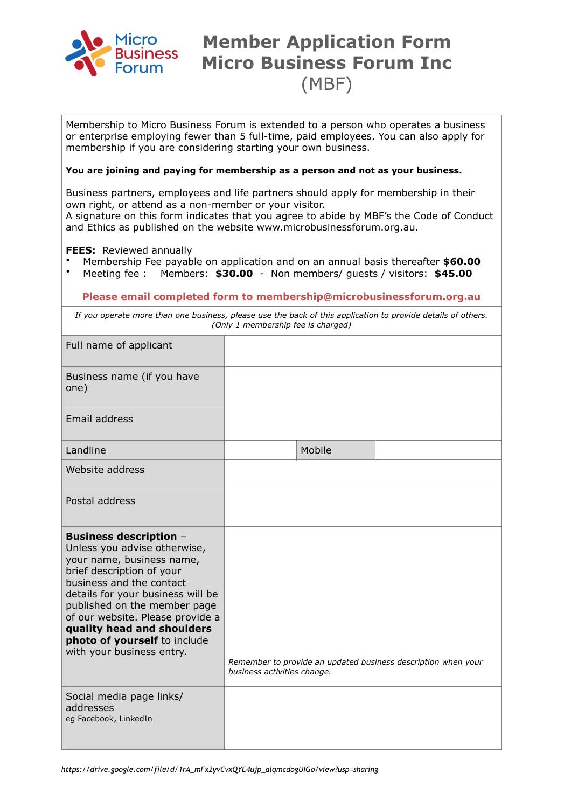

## **Member Application Form Micro Business Forum Inc** (MBF)

Membership to Micro Business Forum is extended to a person who operates a business or enterprise employing fewer than 5 full-time, paid employees. You can also apply for membership if you are considering starting your own business.

## **You are joining and paying for membership as a person and not as your business.**

Business partners, employees and life partners should apply for membership in their own right, or attend as a non-member or your visitor.

A signature on this form indicates that you agree to abide by MBF's the Code of Conduct and Ethics as published on the website www.microbusinessforum.org.au.

**FEES:** Reviewed annually

- Membership Fee payable on application and on an annual basis thereafter **\$60.00**
- Meeting fee : Members: **\$30.00** Non members/ guests / visitors: **\$45.00**

## **Please email completed form to membership@microbusinessforum.org.au**

*If you operate more than one business, please use the back of this application to provide details of others. (Only 1 membership fee is charged)*

| Full name of applicant                                                                                                                                                                                                                                                                                                                                  |                             |        |                                                               |
|---------------------------------------------------------------------------------------------------------------------------------------------------------------------------------------------------------------------------------------------------------------------------------------------------------------------------------------------------------|-----------------------------|--------|---------------------------------------------------------------|
| Business name (if you have<br>one)                                                                                                                                                                                                                                                                                                                      |                             |        |                                                               |
| Email address                                                                                                                                                                                                                                                                                                                                           |                             |        |                                                               |
| Landline                                                                                                                                                                                                                                                                                                                                                |                             | Mobile |                                                               |
| Website address                                                                                                                                                                                                                                                                                                                                         |                             |        |                                                               |
| Postal address                                                                                                                                                                                                                                                                                                                                          |                             |        |                                                               |
| <b>Business description -</b><br>Unless you advise otherwise,<br>your name, business name,<br>brief description of your<br>business and the contact<br>details for your business will be<br>published on the member page<br>of our website. Please provide a<br>quality head and shoulders<br>photo of yourself to include<br>with your business entry. | business activities change. |        | Remember to provide an updated business description when your |
| Social media page links/<br>addresses<br>eg Facebook, LinkedIn                                                                                                                                                                                                                                                                                          |                             |        |                                                               |